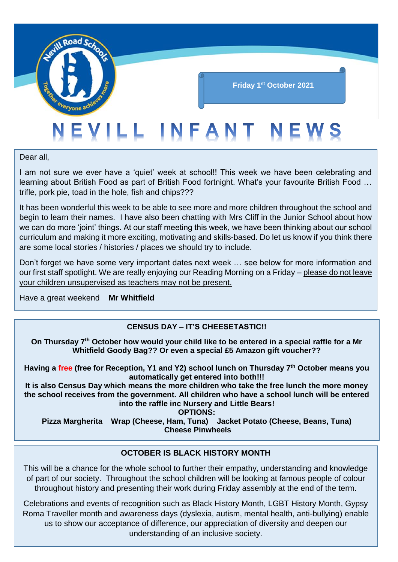

#### **Friday 1 st October 2021**

## EVILL INFANT NEWS

Dear all,

I am not sure we ever have a 'quiet' week at school!! This week we have been celebrating and learning about British Food as part of British Food fortnight. What's your favourite British Food … trifle, pork pie, toad in the hole, fish and chips???

It has been wonderful this week to be able to see more and more children throughout the school and begin to learn their names. I have also been chatting with Mrs Cliff in the Junior School about how we can do more 'joint' things. At our staff meeting this week, we have been thinking about our school curriculum and making it more exciting, motivating and skills-based. Do let us know if you think there are some local stories / histories / places we should try to include.

Don't forget we have some very important dates next week … see below for more information and our first staff spotlight. We are really enjoying our Reading Morning on a Friday – please do not leave your children unsupervised as teachers may not be present.

Have a great weekend **Mr Whitfield**

#### **CENSUS DAY – IT'S CHEESETASTIC!!**

**On Thursday 7th October how would your child like to be entered in a special raffle for a Mr Whitfield Goody Bag?? Or even a special £5 Amazon gift voucher??**

**Having a free (free for Reception, Y1 and Y2) school lunch on Thursday 7th October means you automatically get entered into both!!!**

**It is also Census Day which means the more children who take the free lunch the more money the school receives from the government. All children who have a school lunch will be entered into the raffle inc Nursery and Little Bears!**

**OPTIONS:**

**Pizza Margherita Wrap (Cheese, Ham, Tuna) Jacket Potato (Cheese, Beans, Tuna) Cheese Pinwheels**

#### **OCTOBER IS BLACK HISTORY MONTH**

This will be a chance for the whole school to further their empathy, understanding and knowledge of part of our society. Throughout the school children will be looking at famous people of colour throughout history and presenting their work during Friday assembly at the end of the term.

Celebrations and events of recognition such as Black History Month, LGBT History Month, Gypsy Roma Traveller month and awareness days (dyslexia, autism, mental health, anti-bullying) enable us to show our acceptance of difference, our appreciation of diversity and deepen our understanding of an inclusive society.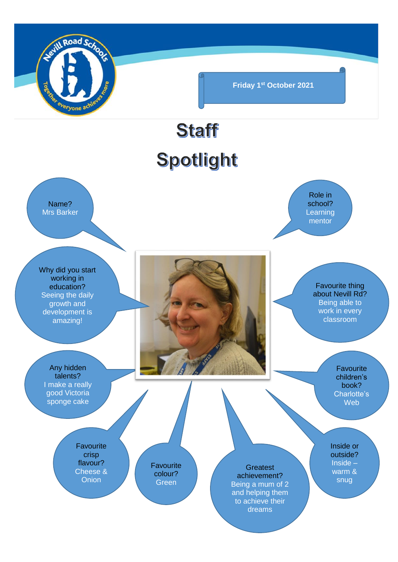

**Friday 1 st October 2021**

# **Staff** Spotlight

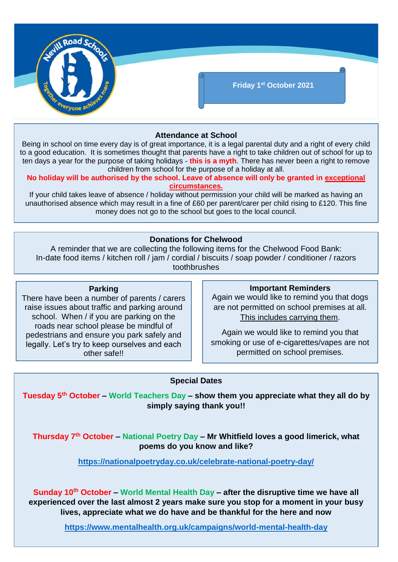

#### **Attendance at School**

Being in school on time every day is of great importance, it is a legal parental duty and a right of every child to a good education. It is sometimes thought that parents have a right to take children out of school for up to ten days a year for the purpose of taking holidays - **this is a myth**. There has never been a right to remove children from school for the purpose of a holiday at all.

**No holiday will be authorised by the school. Leave of absence will only be granted in exceptional circumstances.**

If your child takes leave of absence / holiday without permission your child will be marked as having an unauthorised absence which may result in a fine of £60 per parent/carer per child rising to £120. This fine money does not go to the school but goes to the local council.

#### **Donations for Chelwood**

A reminder that we are collecting the following items for the Chelwood Food Bank: In-date food items / kitchen roll / jam / cordial / biscuits / soap powder / conditioner / razors toothbrushes

#### **Parking**

There have been a number of parents / carers raise issues about traffic and parking around school. When / if you are parking on the roads near school please be mindful of pedestrians and ensure you park safely and legally. Let's try to keep ourselves and each other safe!!

#### **Important Reminders**

Again we would like to remind you that dogs are not permitted on school premises at all. This includes carrying them.

Again we would like to remind you that smoking or use of e-cigarettes/vapes are not permitted on school premises.

#### **Special Dates**

**Tuesday 5th October – World Teachers Day – show them you appreciate what they all do by simply saying thank you!!**

**Thursday 7th October – National Poetry Day – Mr Whitfield loves a good limerick, what poems do you know and like?**

**<https://nationalpoetryday.co.uk/celebrate-national-poetry-day/>**

**Sunday 10th October – World Mental Health Day – after the disruptive time we have all experienced over the last almost 2 years make sure you stop for a moment in your busy lives, appreciate what we do have and be thankful for the here and now**

**<https://www.mentalhealth.org.uk/campaigns/world-mental-health-day>**